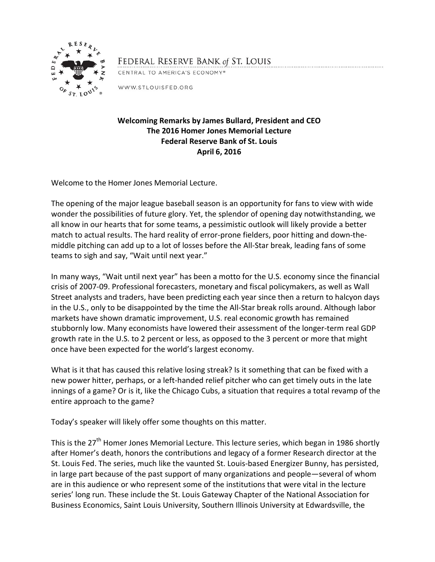

FEDERAL RESERVE BANK of ST. LOUIS

CENTRAL TO AMERICA'S ECONOMY®

WWW.STLOUISFED.ORG

## **Welcoming Remarks by James Bullard, President and CEO The 2016 Homer Jones Memorial Lecture Federal Reserve Bank of St. Louis April 6, 2016**

Welcome to the Homer Jones Memorial Lecture.

The opening of the major league baseball season is an opportunity for fans to view with wide wonder the possibilities of future glory. Yet, the splendor of opening day notwithstanding, we all know in our hearts that for some teams, a pessimistic outlook will likely provide a better match to actual results. The hard reality of error-prone fielders, poor hitting and down-themiddle pitching can add up to a lot of losses before the All-Star break, leading fans of some teams to sigh and say, "Wait until next year."

In many ways, "Wait until next year" has been a motto for the U.S. economy since the financial crisis of 2007-09. Professional forecasters, monetary and fiscal policymakers, as well as Wall Street analysts and traders, have been predicting each year since then a return to halcyon days in the U.S., only to be disappointed by the time the All-Star break rolls around. Although labor markets have shown dramatic improvement, U.S. real economic growth has remained stubbornly low. Many economists have lowered their assessment of the longer-term real GDP growth rate in the U.S. to 2 percent or less, as opposed to the 3 percent or more that might once have been expected for the world's largest economy.

What is it that has caused this relative losing streak? Is it something that can be fixed with a new power hitter, perhaps, or a left-handed relief pitcher who can get timely outs in the late innings of a game? Or is it, like the Chicago Cubs, a situation that requires a total revamp of the entire approach to the game?

Today's speaker will likely offer some thoughts on this matter.

This is the 27<sup>th</sup> Homer Jones Memorial Lecture. This lecture series, which began in 1986 shortly after Homer's death, honors the contributions and legacy of a former Research director at the St. Louis Fed. The series, much like the vaunted St. Louis-based Energizer Bunny, has persisted, in large part because of the past support of many organizations and people—several of whom are in this audience or who represent some of the institutions that were vital in the lecture series' long run. These include the St. Louis Gateway Chapter of the National Association for Business Economics, Saint Louis University, Southern Illinois University at Edwardsville, the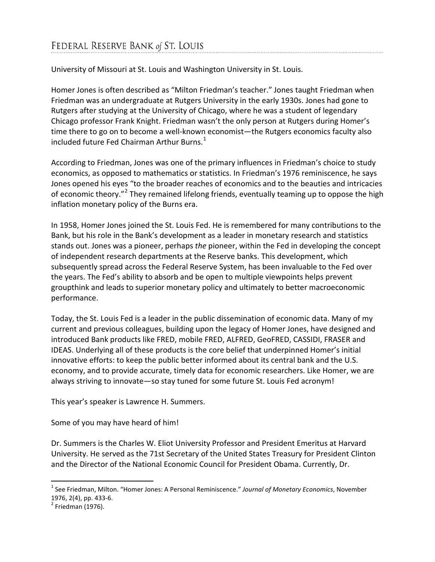University of Missouri at St. Louis and Washington University in St. Louis.

Homer Jones is often described as "Milton Friedman's teacher." Jones taught Friedman when Friedman was an undergraduate at Rutgers University in the early 1930s. Jones had gone to Rutgers after studying at the University of Chicago, where he was a student of legendary Chicago professor Frank Knight. Friedman wasn't the only person at Rutgers during Homer's time there to go on to become a well-known economist—the Rutgers economics faculty also included future Fed Chairman Arthur Burns.<sup>[1](#page-1-0)</sup>

According to Friedman, Jones was one of the primary influences in Friedman's choice to study economics, as opposed to mathematics or statistics. In Friedman's 1976 reminiscence, he says Jones opened his eyes "to the broader reaches of economics and to the beauties and intricacies of economic theory."<sup>[2](#page-1-1)</sup> They remained lifelong friends, eventually teaming up to oppose the high inflation monetary policy of the Burns era.

In 1958, Homer Jones joined the St. Louis Fed. He is remembered for many contributions to the Bank, but his role in the Bank's development as a leader in monetary research and statistics stands out. Jones was a pioneer, perhaps *the* pioneer, within the Fed in developing the concept of independent research departments at the Reserve banks. This development, which subsequently spread across the Federal Reserve System, has been invaluable to the Fed over the years. The Fed's ability to absorb and be open to multiple viewpoints helps prevent groupthink and leads to superior monetary policy and ultimately to better macroeconomic performance.

Today, the St. Louis Fed is a leader in the public dissemination of economic data. Many of my current and previous colleagues, building upon the legacy of Homer Jones, have designed and introduced Bank products like FRED, mobile FRED, ALFRED, GeoFRED, CASSIDI, FRASER and IDEAS. Underlying all of these products is the core belief that underpinned Homer's initial innovative efforts: to keep the public better informed about its central bank and the U.S. economy, and to provide accurate, timely data for economic researchers. Like Homer, we are always striving to innovate—so stay tuned for some future St. Louis Fed acronym!

This year's speaker is Lawrence H. Summers.

Some of you may have heard of him!

Dr. Summers is the Charles W. Eliot University Professor and President Emeritus at Harvard University. He served as the 71st Secretary of the United States Treasury for President Clinton and the Director of the National Economic Council for President Obama. Currently, Dr.

<span id="page-1-0"></span> <sup>1</sup> See Friedman, Milton. "Homer Jones: A Personal Reminiscence." *Journal of Monetary Economics*, November 1976, 2(4), pp. 433-6.<br><sup>2</sup> Friedman (1976).

<span id="page-1-1"></span>